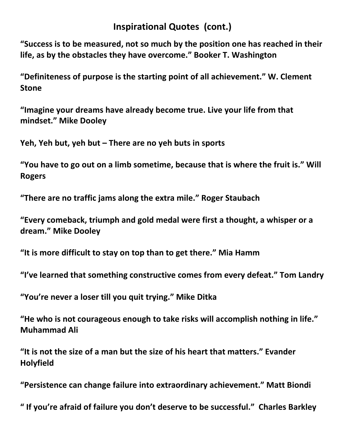## **Inspirational Quotes (cont.)**

**"Success is to be measured, not so much by the position one has reached in their life, as by the obstacles they have overcome." Booker T. Washington**

**"Definiteness of purpose is the starting point of all achievement." W. Clement Stone**

**"Imagine your dreams have already become true. Live your life from that mindset." Mike Dooley**

**Yeh, Yeh but, yeh but – There are no yeh buts in sports**

**"You have to go out on a limb sometime, because that is where the fruit is." Will Rogers**

**"There are no traffic jams along the extra mile." Roger Staubach**

**"Every comeback, triumph and gold medal were first a thought, a whisper or a dream." Mike Dooley**

**"It is more difficult to stay on top than to get there." Mia Hamm**

**"I've learned that something constructive comes from every defeat." Tom Landry**

**"You're never a loser till you quit trying." Mike Ditka**

**"He who is not courageous enough to take risks will accomplish nothing in life." Muhammad Ali**

**"It is not the size of a man but the size of his heart that matters." Evander Holyfield**

**"Persistence can change failure into extraordinary achievement." Matt Biondi**

**" If you're afraid of failure you don't deserve to be successful." Charles Barkley**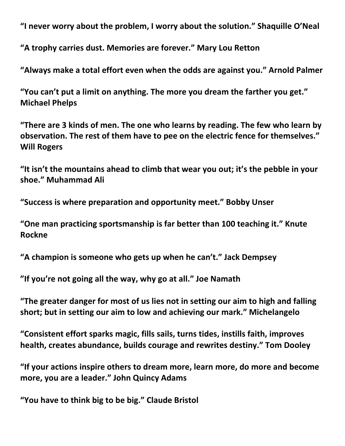**"I never worry about the problem, I worry about the solution." Shaquille O'Neal**

**"A trophy carries dust. Memories are forever." Mary Lou Retton**

**"Always make a total effort even when the odds are against you." Arnold Palmer**

**"You can't put a limit on anything. The more you dream the farther you get." Michael Phelps**

**"There are 3 kinds of men. The one who learns by reading. The few who learn by observation. The rest of them have to pee on the electric fence for themselves." Will Rogers**

**"It isn't the mountains ahead to climb that wear you out; it's the pebble in your shoe." Muhammad Ali**

**"Success is where preparation and opportunity meet." Bobby Unser**

**"One man practicing sportsmanship is far better than 100 teaching it." Knute Rockne**

**"A champion is someone who gets up when he can't." Jack Dempsey**

**"If you're not going all the way, why go at all." Joe Namath**

**"The greater danger for most of us lies not in setting our aim to high and falling short; but in setting our aim to low and achieving our mark." Michelangelo**

**"Consistent effort sparks magic, fills sails, turns tides, instills faith, improves health, creates abundance, builds courage and rewrites destiny." Tom Dooley**

**"If your actions inspire others to dream more, learn more, do more and become more, you are a leader." John Quincy Adams**

**"You have to think big to be big." Claude Bristol**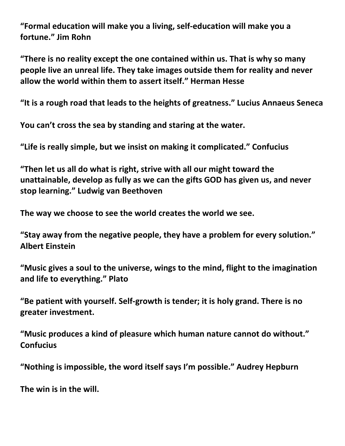**"Formal education will make you a living, self-education will make you a fortune." Jim Rohn**

**"There is no reality except the one contained within us. That is why so many people live an unreal life. They take images outside them for reality and never allow the world within them to assert itself." Herman Hesse**

**"It is a rough road that leads to the heights of greatness." Lucius Annaeus Seneca**

**You can't cross the sea by standing and staring at the water.**

**"Life is really simple, but we insist on making it complicated." Confucius**

**"Then let us all do what is right, strive with all our might toward the unattainable, develop as fully as we can the gifts GOD has given us, and never stop learning." Ludwig van Beethoven**

**The way we choose to see the world creates the world we see.**

**"Stay away from the negative people, they have a problem for every solution." Albert Einstein**

**"Music gives a soul to the universe, wings to the mind, flight to the imagination and life to everything." Plato**

**"Be patient with yourself. Self-growth is tender; it is holy grand. There is no greater investment.**

**"Music produces a kind of pleasure which human nature cannot do without." Confucius**

**"Nothing is impossible, the word itself says I'm possible." Audrey Hepburn**

**The win is in the will.**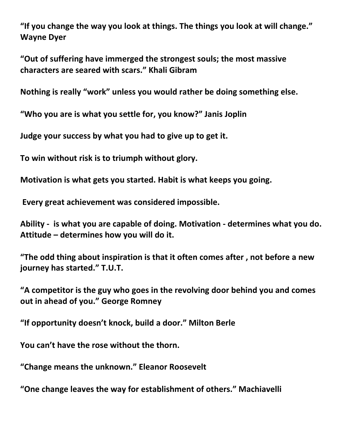**"If you change the way you look at things. The things you look at will change." Wayne Dyer**

**"Out of suffering have immerged the strongest souls; the most massive characters are seared with scars." Khali Gibram**

**Nothing is really "work" unless you would rather be doing something else.**

**"Who you are is what you settle for, you know?" Janis Joplin**

**Judge your success by what you had to give up to get it.**

**To win without risk is to triumph without glory.**

**Motivation is what gets you started. Habit is what keeps you going.**

**Every great achievement was considered impossible.**

**Ability - is what you are capable of doing. Motivation - determines what you do. Attitude – determines how you will do it.**

**"The odd thing about inspiration is that it often comes after , not before a new journey has started." T.U.T.**

**"A competitor is the guy who goes in the revolving door behind you and comes out in ahead of you." George Romney**

**"If opportunity doesn't knock, build a door." Milton Berle**

**You can't have the rose without the thorn.**

**"Change means the unknown." Eleanor Roosevelt**

**"One change leaves the way for establishment of others." Machiavelli**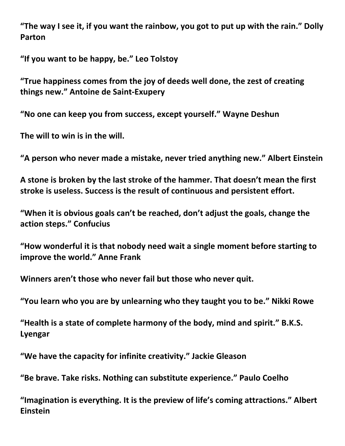**"The way I see it, if you want the rainbow, you got to put up with the rain." Dolly Parton**

**"If you want to be happy, be." Leo Tolstoy**

**"True happiness comes from the joy of deeds well done, the zest of creating things new." Antoine de Saint-Exupery**

**"No one can keep you from success, except yourself." Wayne Deshun**

**The will to win is in the will.**

**"A person who never made a mistake, never tried anything new." Albert Einstein**

**A stone is broken by the last stroke of the hammer. That doesn't mean the first stroke is useless. Success is the result of continuous and persistent effort.**

**"When it is obvious goals can't be reached, don't adjust the goals, change the action steps." Confucius**

**"How wonderful it is that nobody need wait a single moment before starting to improve the world." Anne Frank**

**Winners aren't those who never fail but those who never quit.**

**"You learn who you are by unlearning who they taught you to be." Nikki Rowe**

**"Health is a state of complete harmony of the body, mind and spirit." B.K.S. Lyengar**

**"We have the capacity for infinite creativity." Jackie Gleason**

**"Be brave. Take risks. Nothing can substitute experience." Paulo Coelho**

**"Imagination is everything. It is the preview of life's coming attractions." Albert Einstein**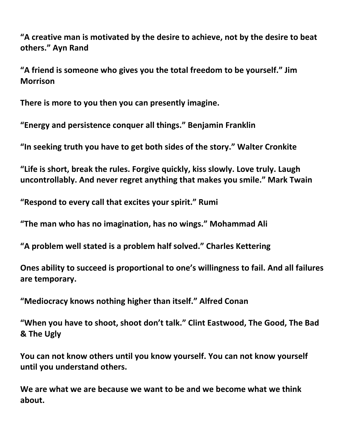**"A creative man is motivated by the desire to achieve, not by the desire to beat others." Ayn Rand**

**"A friend is someone who gives you the total freedom to be yourself." Jim Morrison**

**There is more to you then you can presently imagine.**

**"Energy and persistence conquer all things." Benjamin Franklin**

**"In seeking truth you have to get both sides of the story." Walter Cronkite**

**"Life is short, break the rules. Forgive quickly, kiss slowly. Love truly. Laugh uncontrollably. And never regret anything that makes you smile." Mark Twain**

**"Respond to every call that excites your spirit." Rumi**

**"The man who has no imagination, has no wings." Mohammad Ali**

**"A problem well stated is a problem half solved." Charles Kettering**

**Ones ability to succeed is proportional to one's willingness to fail. And all failures are temporary.**

**"Mediocracy knows nothing higher than itself." Alfred Conan**

**"When you have to shoot, shoot don't talk." Clint Eastwood, The Good, The Bad & The Ugly**

**You can not know others until you know yourself. You can not know yourself until you understand others.**

**We are what we are because we want to be and we become what we think about.**